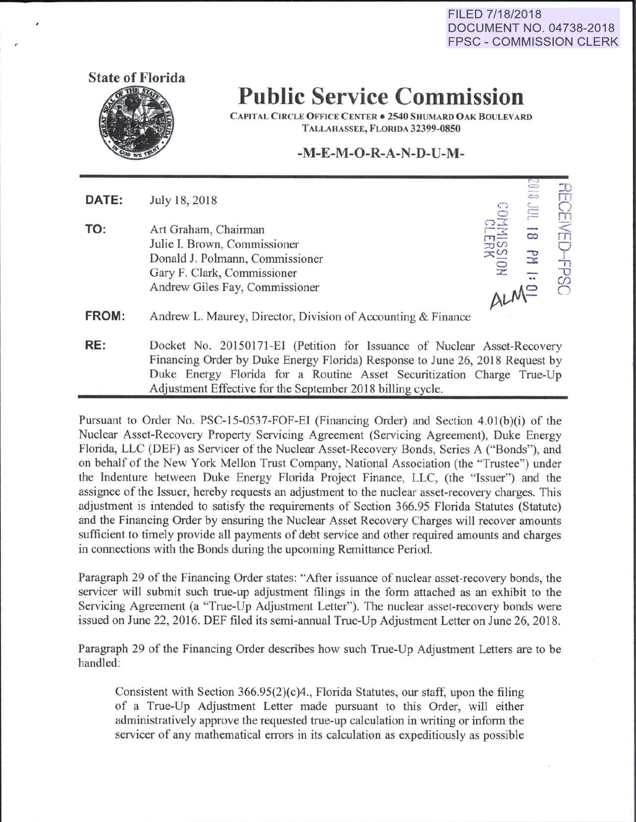**FILED 7/18/2018 DOCUMENT NO. 04738-2018 FPSC- COMMISSION CLERK** 



## **Public Service Commission**

CAPITAL CIRCLE OFFICE CENTER • 2540 SHUMARD OAK BOULEVARD TALLAHASSEE, FLORIDA 32399-0850

### **-M-E-M-0-R-A-N-D-U-M-**

**DATE:** July 18, 2018

**TO:** Art Graham, Chairman **Julie I. Brown, Commissioner** Donald J. Polmann, Commissioner Gary F. Clark, Commissioner Andrew Giles Fay, Commissioner

, ...... RECEIVED-FPSC  $\frac{1}{2}$  is  $\frac{1}{2}$  $\overline{\circ}$   $\overline{\bullet}$   $\overline{\bullet}$ 

**FROM:** Andrew L. Maurey, Director, Division of Accounting & Finance

**RE:** Docket No. 20150171-EI (Petition for Issuance of Nuclear Asset-Recovery Financing Order by Duke Energy Florida) Response to June 26, 2018 Request by Duke Energy Florida. for a Routine Asset Securitization Charge True-Up Adjustment Effective for the September 2018 billing cycle.

Pursuant to Order No. PSC-15-0537-FOF-EI (Financing Order) and Section 4.0l(b)(i) of the Nuclear Asset-Recovery Property Servicing Agreement (Servicing Agreement), Duke Energy Florida, LLC (DEF) as Servicer of the Nuclear Asset-Recovery Bonds, Series A ("Bonds"), and on behalf of the New York Mellon Trust Company, National Association (the "Trustee") under the Indenture between Duke Energy Florida Project Finance, LLC, (the "Issuer") and the assignee of the Issuer, hereby requests an adjustment to the nuclear asset-recovery charges. This adjustment is intended to satisfy the requirements of Section 366.95 Florida Statutes (Statute) and the Financing Order by ensuring the Nuclear Asset Recovery Charges will recover amounts sufficient to timely provide all payments of debt service and other required amounts and charges in connections with the Bonds during the upcoming Remittance Period.

Paragraph 29 of the Financing Order states: "After issuance of nuclear asset-recovery bonds, the servicer will submit such true-up adjustment filings in the form attached as an exhibit to the Servicing Agreement (a "True-Up Adjustment Letter"). The nuclear asset-recovery bonds were issued on June 22, 2016. DEF filed its semi-annual True-Up Adjustment Letter on June 26, 2018.

Paragraph 29 of the Financing Order describes how such True-Up Adjustment Letters are to be handled:

Consistent with Section 366.95(2)(c)4., Florida Statutes, our staff, upon the filing of a True-Up Adjustment Letter made pursuant to this Order, will either administratively approve the requested true-up calculation in writing or inform the servicer of any mathematical errors in its calculation as expeditiously as possible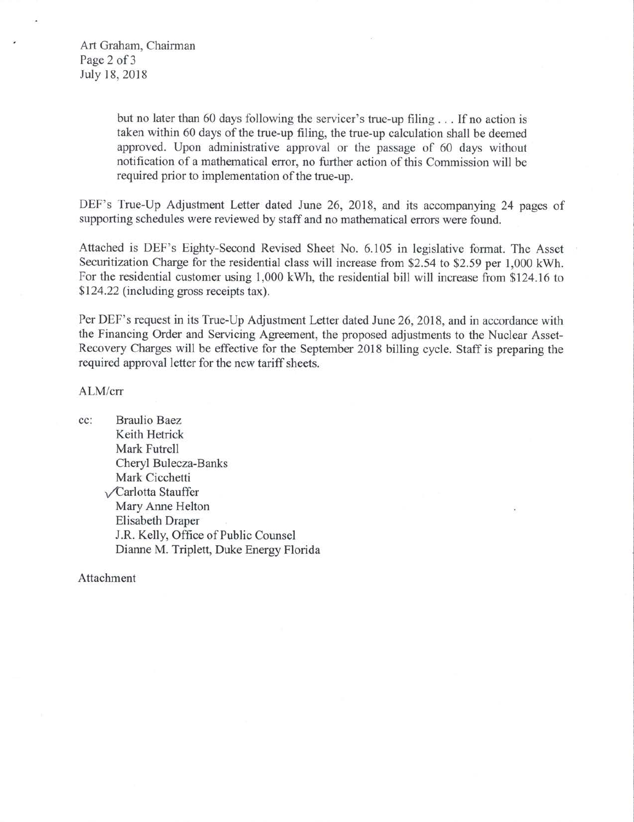Art Graham, Chairman Page 2 of 3 July 18, 2018

> but no later than 60 days following the servicer's true-up filing ... If no action is taken within 60 days of the true-up filing, the true-up calculation shall be deemed approved. Upon administrative approval or the passage of 60 days without notification of a mathematical error, no further action of this Commission will be required prior to implementation of the true-up.

DEF's True-Up Adjustment Letter dated June 26, 2018, and its accompanying 24 pages of supporting schedules were reviewed by staff and no mathematical errors were found.

Attached is DEF's Eighty-Second Revised Sheet No. 6.105 in legislative fonnat. The Asset Securitization Charge for the residential class will increase from \$2.54 to \$2.59 per 1,000 kWh. For the residential customer using 1,000 kWh, the residential bill will increase from \$124.16 to \$124.22 (including gross receipts tax).

Per DEF's request in its True-Up Adjustment Letter dated June 26, 2018, and in accordance with the Financing Order and Servicing Agreement, the proposed adjustments to the Nuclear Asset-Recovery Charges will be effective for the September 2018 billing cycle. Staff is preparing the required approval letter for the new tariff sheets.

### ALM/crr

cc: Braulio Baez Keith Hetrick Mark Futrell Cheryl Bulecza-Banks Mark Cicchetti **VCarlotta Stauffer** Mary Anne Helton Elisabeth Draper J.R. Kelly, Office of Public Counsel Dianne M. Triplett, Duke Energy Florida

Attachment